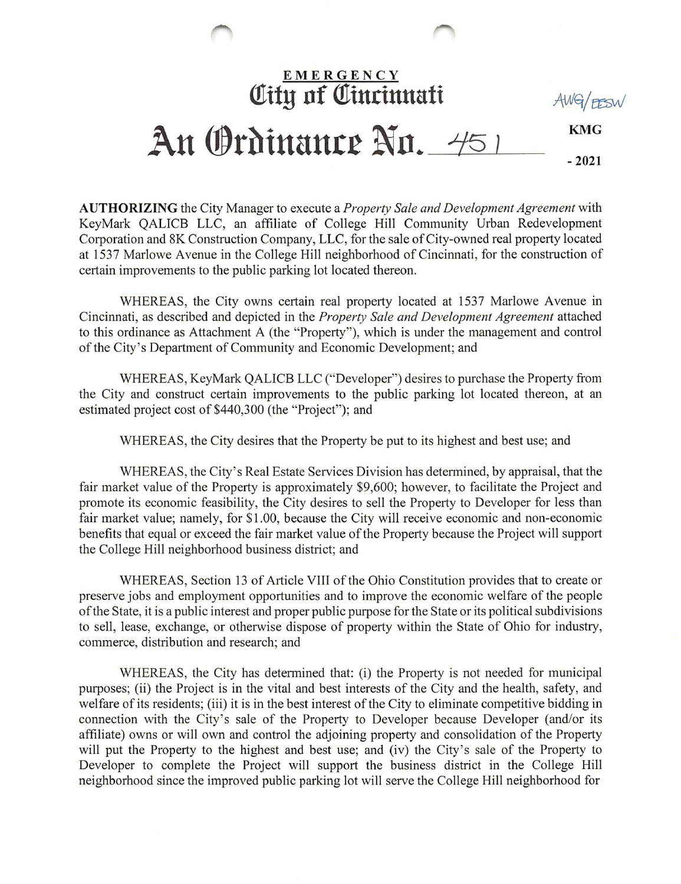## **EMERGENCY** Qlttg 0f ©tnrimtatt AWG/EESW KMC An Ordinance No. 451 -2021

AUTHORIZING the City Manager to execute a *Property Sale and Development Agreement* with KeyMark QALICB LLC, an affiliate of College Hill Community Urban Redevelopment Corporation and 8K Construction Company, LLC, for the sale of City-owned real property located at 1537 Marlowe Avenue in the College Hill neighborhood of Cincinnati, for the construction of certain improvements to the public parking lot located thereon.

WHEREAS, the City owns certain real property located at 1537 Marlowe Avenue in Cincinnati, as described and depicted in the Property Sale and Development Agreement attached to this ordinance as Attachment A (the "Property"), which is under the management and control of the City's Department of Community and Economic Development; and

WHEREAS, KeyMark QALICB LLC ("Developer") desires to purchase the Property from the City and construct certain improvements to the public parking lot located thereon, at an estimated project cost of \$440,300 (the "Project"); and

WHEREAS, the City desires that the Property be put to its highest and best use; and

WHEREAS, the City's Real Estate Services Division has determined, by appraisal, that the fair market value of the Property is approximately \$9,600; however, to facilitate the Project and promote its economic feasibility, the City desires to sell the Property to Developer for less than fair market value; namely, for SI.00, because the City will receive economic and non-economic benefits that equal or exceed the fair market value of the Property because the Project will support the College Hill neighborhood business district; and

WHEREAS, Section 13 of Article VIII of the Ohio Constitution provides that to create or preserve jobs and employment opportunities and to improve the economic welfare of the people of the State, it is a public interest and proper public purpose for the State or its political subdivisions to sell, lease, exchange, or otherwise dispose of property within the State of Ohio for industry, commerce, distribution and research; and

WHEREAS, the City has determined that: (i) the Property is not needed for municipal purposes; (ii) the Project is in the vital and best interests of the City and the health, safety, and welfare of its residents; (iii) it is in the best interest of the City to eliminate competitive bidding in connection with the City's sale of the Property to Developer because Developer (and/or its affiliate) owns or will own and control the adjoining property and consolidation of the Property will put the Property to the highest and best use; and (iv) the City's sale of the Property to Developer to complete the Project will support the business district in the College Hill neighborhood since the improved public parking lot will serve the College Hill neighborhood for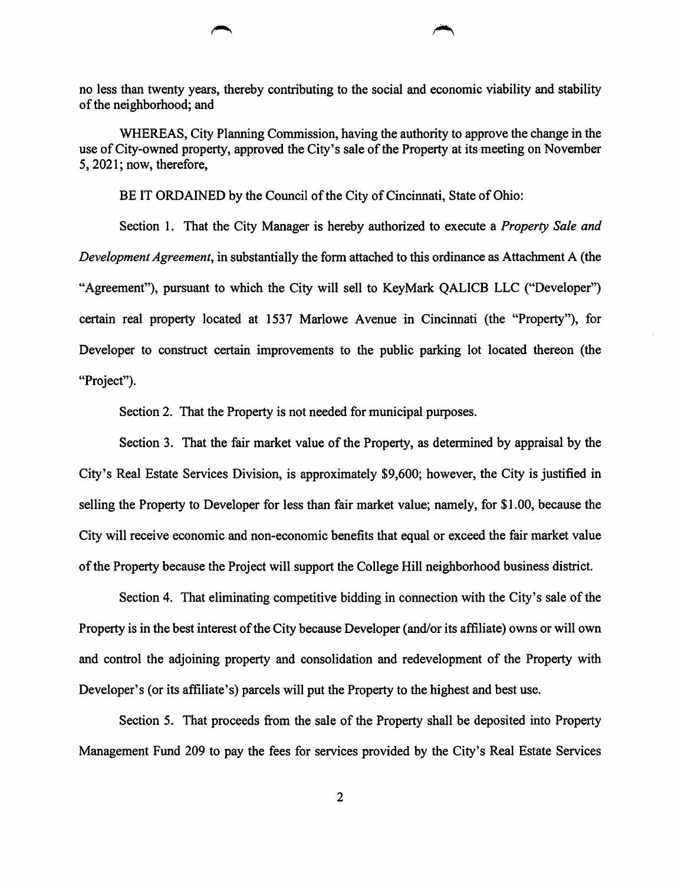no less than twenty years, thereby contributing to the social and economic viability and stability of the neighborhood; and

WHEREAS, City Planning Commission, having the authority to approve the change in the use of City-owned property, approved the City's sale of the Property at its meeting on November 5,2021; now, therefore,

BE IT ORDAINED by the Council of the City of Cincinnati, State of Ohio:

Section 1. That the City Manager is hereby authorized to execute a *Property Sale and* Development Agreement, in substantially the form attached to this ordinance as Attachment A (the "Agreement"), pursuant to which the City will sell to KeyMark QALICB LLC ("Developer") certain real property located at 1537 Marlowe Avenue in Cincinnati (the "Property"), for Developer to construct certain improvements to the public parking lot located thereon (the "Project").

Section 2. That the Property is not needed for municipal purposes.

Section 3. That the fair market value of the Property, as determined by appraisal by the City's Real Estate Services Division, is approximately \$9,600; however, the City is justified in selling the Property to Developer for less than fair market value; namely, for \$1.00, because the City will receive economic and non-economic benefits that equal or exceed the fair market value of the Property because the Project will support the College Hill neighborhood business district.

Section 4. That eliminating competitive bidding in connection with the City's sale of the Property is in the best interest of the City because Developer (and/or its affiliate) owns or will own and control the adjoining property and consolidation and redevelopment of the Property with Developer's (or its affiliate's) parcels will put the Property to the highest and best use.

Section 5. That proceeds from the sale of the Property shall be deposited into Property Management Fund 209 to pay the fees for services provided by the City's Real Estate Services